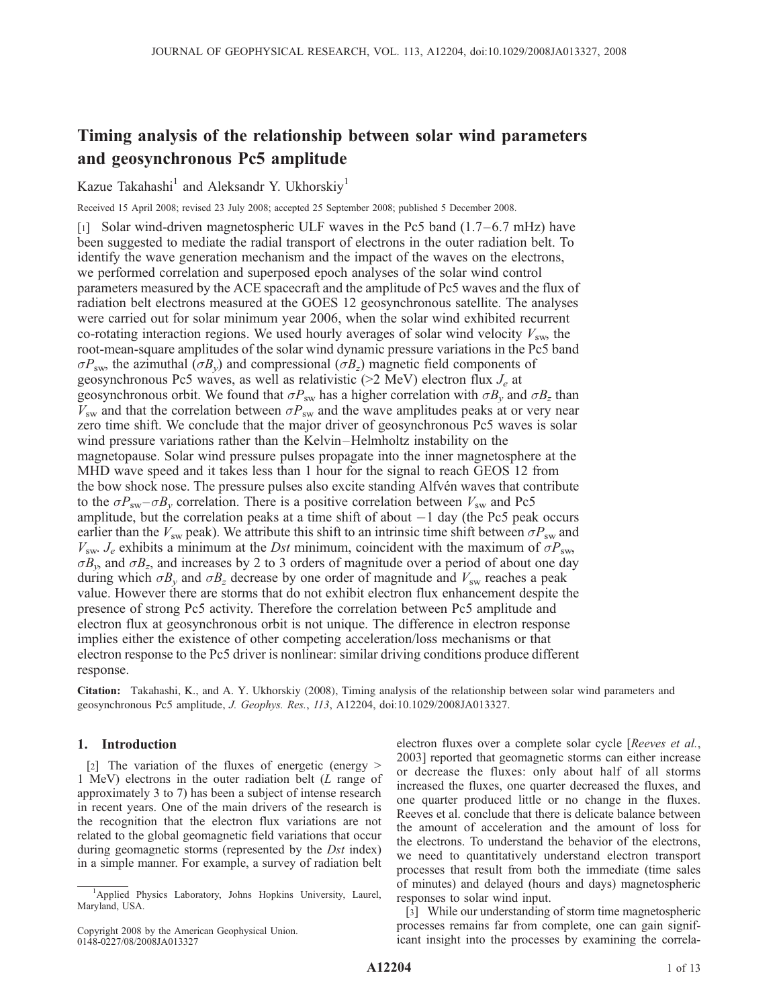# Timing analysis of the relationship between solar wind parameters and geosynchronous Pc5 amplitude

Kazue Takahashi<sup>1</sup> and Aleksandr Y. Ukhorskiy<sup>1</sup>

Received 15 April 2008; revised 23 July 2008; accepted 25 September 2008; published 5 December 2008.

[1] Solar wind-driven magnetospheric ULF waves in the Pc5 band (1.7–6.7 mHz) have been suggested to mediate the radial transport of electrons in the outer radiation belt. To identify the wave generation mechanism and the impact of the waves on the electrons, we performed correlation and superposed epoch analyses of the solar wind control parameters measured by the ACE spacecraft and the amplitude of Pc5 waves and the flux of radiation belt electrons measured at the GOES 12 geosynchronous satellite. The analyses were carried out for solar minimum year 2006, when the solar wind exhibited recurrent co-rotating interaction regions. We used hourly averages of solar wind velocity  $V_{\text{sw}}$ , the root-mean-square amplitudes of the solar wind dynamic pressure variations in the Pc5 band  $\sigma P_{\rm sw}$ , the azimuthal ( $\sigma B_{\nu}$ ) and compressional ( $\sigma B_{\nu}$ ) magnetic field components of geosynchronous Pc5 waves, as well as relativistic ( $>2$  MeV) electron flux  $J_e$  at geosynchronous orbit. We found that  $\sigma P_{sw}$  has a higher correlation with  $\sigma B_y$  and  $\sigma B_z$  than  $V_{\text{sw}}$  and that the correlation between  $\sigma P_{\text{sw}}$  and the wave amplitudes peaks at or very near zero time shift. We conclude that the major driver of geosynchronous Pc5 waves is solar wind pressure variations rather than the Kelvin–Helmholtz instability on the magnetopause. Solar wind pressure pulses propagate into the inner magnetosphere at the MHD wave speed and it takes less than 1 hour for the signal to reach GEOS 12 from the bow shock nose. The pressure pulses also excite standing Alfvén waves that contribute to the  $\sigma P_{sw}-\sigma B_v$  correlation. There is a positive correlation between  $V_{sw}$  and Pc5 amplitude, but the correlation peaks at a time shift of about  $-1$  day (the Pc5 peak occurs earlier than the  $V_{sw}$  peak). We attribute this shift to an intrinsic time shift between  $\sigma P_{sw}$  and  $V_{\text{sw}}$ .  $J_e$  exhibits a minimum at the *Dst* minimum, coincident with the maximum of  $\sigma P_{\text{sw}}$ ,  $\sigma B_{v}$ , and  $\sigma B_{z}$ , and increases by 2 to 3 orders of magnitude over a period of about one day during which  $\sigma B_y$  and  $\sigma B_z$  decrease by one order of magnitude and  $V_{sw}$  reaches a peak value. However there are storms that do not exhibit electron flux enhancement despite the presence of strong Pc5 activity. Therefore the correlation between Pc5 amplitude and electron flux at geosynchronous orbit is not unique. The difference in electron response implies either the existence of other competing acceleration/loss mechanisms or that electron response to the Pc5 driver is nonlinear: similar driving conditions produce different response.

Citation: Takahashi, K., and A. Y. Ukhorskiy (2008), Timing analysis of the relationship between solar wind parameters and geosynchronous Pc5 amplitude, J. Geophys. Res., 113, A12204, doi:10.1029/2008JA013327.

# 1. Introduction

[2] The variation of the fluxes of energetic (energy > 1 MeV) electrons in the outer radiation belt (L range of approximately 3 to 7) has been a subject of intense research in recent years. One of the main drivers of the research is the recognition that the electron flux variations are not related to the global geomagnetic field variations that occur during geomagnetic storms (represented by the *Dst* index) in a simple manner. For example, a survey of radiation belt

electron fluxes over a complete solar cycle [Reeves et al., 2003] reported that geomagnetic storms can either increase or decrease the fluxes: only about half of all storms increased the fluxes, one quarter decreased the fluxes, and one quarter produced little or no change in the fluxes. Reeves et al. conclude that there is delicate balance between the amount of acceleration and the amount of loss for the electrons. To understand the behavior of the electrons, we need to quantitatively understand electron transport processes that result from both the immediate (time sales of minutes) and delayed (hours and days) magnetospheric responses to solar wind input.

[3] While our understanding of storm time magnetospheric processes remains far from complete, one can gain significant insight into the processes by examining the correla-

<sup>&</sup>lt;sup>1</sup>Applied Physics Laboratory, Johns Hopkins University, Laurel, Maryland, USA.

Copyright 2008 by the American Geophysical Union. 0148-0227/08/2008JA013327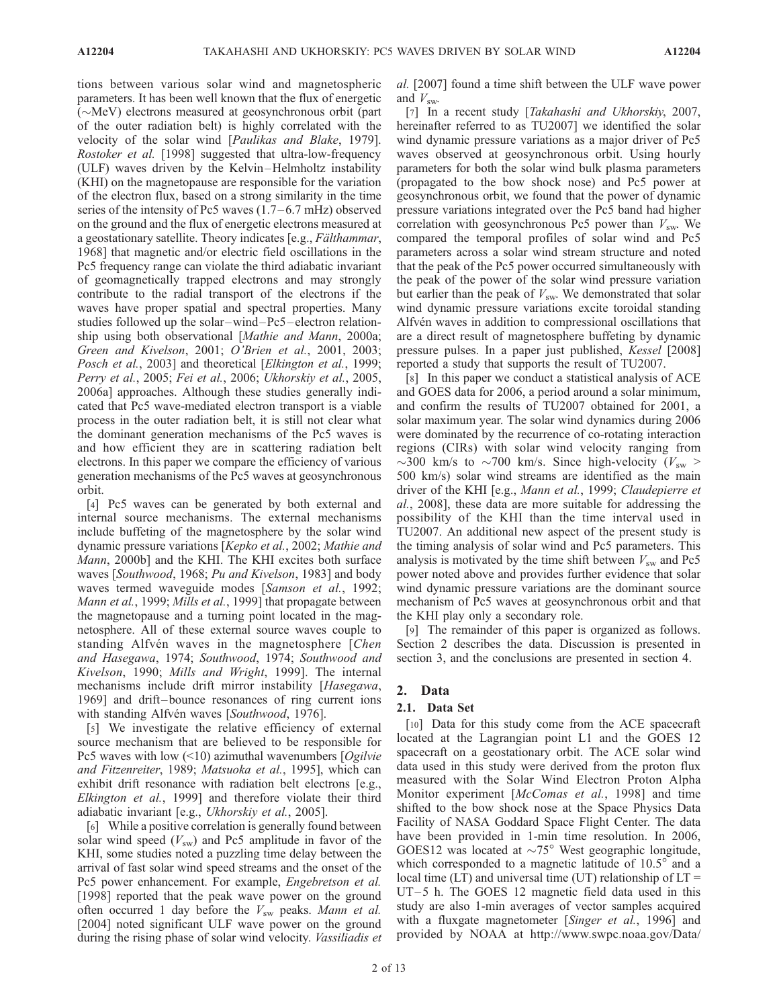tions between various solar wind and magnetospheric parameters. It has been well known that the flux of energetic (-MeV) electrons measured at geosynchronous orbit (part of the outer radiation belt) is highly correlated with the velocity of the solar wind [Paulikas and Blake, 1979]. Rostoker et al. [1998] suggested that ultra-low-frequency (ULF) waves driven by the Kelvin –Helmholtz instability (KHI) on the magnetopause are responsible for the variation of the electron flux, based on a strong similarity in the time series of the intensity of Pc5 waves  $(1.7 - 6.7 \text{ mHz})$  observed on the ground and the flux of energetic electrons measured at a geostationary satellite. Theory indicates [e.g., Fälthammar, 1968] that magnetic and/or electric field oscillations in the Pc5 frequency range can violate the third adiabatic invariant of geomagnetically trapped electrons and may strongly contribute to the radial transport of the electrons if the waves have proper spatial and spectral properties. Many studies followed up the solar-wind–Pc5-electron relationship using both observational [Mathie and Mann, 2000a; Green and Kivelson, 2001; O'Brien et al., 2001, 2003; Posch et al., 2003] and theoretical [Elkington et al., 1999; Perry et al., 2005; Fei et al., 2006; Ukhorskiy et al., 2005, 2006a] approaches. Although these studies generally indicated that Pc5 wave-mediated electron transport is a viable process in the outer radiation belt, it is still not clear what the dominant generation mechanisms of the Pc5 waves is and how efficient they are in scattering radiation belt electrons. In this paper we compare the efficiency of various generation mechanisms of the Pc5 waves at geosynchronous orbit.

[4] Pc5 waves can be generated by both external and internal source mechanisms. The external mechanisms include buffeting of the magnetosphere by the solar wind dynamic pressure variations [Kepko et al., 2002; Mathie and Mann, 2000b] and the KHI. The KHI excites both surface waves [Southwood, 1968; Pu and Kivelson, 1983] and body waves termed waveguide modes [Samson et al., 1992; Mann et al., 1999; Mills et al., 1999] that propagate between the magnetopause and a turning point located in the magnetosphere. All of these external source waves couple to standing Alfvén waves in the magnetosphere [Chen and Hasegawa, 1974; Southwood, 1974; Southwood and Kivelson, 1990; Mills and Wright, 1999]. The internal mechanisms include drift mirror instability [Hasegawa, 1969] and drift-bounce resonances of ring current ions with standing Alfvén waves [Southwood, 1976].

[5] We investigate the relative efficiency of external source mechanism that are believed to be responsible for Pc5 waves with low  $($ <10) azimuthal wavenumbers  $[Oglvie]$ and Fitzenreiter, 1989; Matsuoka et al., 1995], which can exhibit drift resonance with radiation belt electrons [e.g., Elkington et al., 1999] and therefore violate their third adiabatic invariant [e.g., Ukhorskiy et al., 2005].

[6] While a positive correlation is generally found between solar wind speed  $(V_{sw})$  and Pc5 amplitude in favor of the KHI, some studies noted a puzzling time delay between the arrival of fast solar wind speed streams and the onset of the Pc5 power enhancement. For example, *Engebretson et al.* [1998] reported that the peak wave power on the ground often occurred 1 day before the  $V_{sw}$  peaks. Mann et al. [2004] noted significant ULF wave power on the ground during the rising phase of solar wind velocity. Vassiliadis et al. [2007] found a time shift between the ULF wave power and  $V_{\text{sw}}$ .

[7] In a recent study [Takahashi and Ukhorskiy, 2007, hereinafter referred to as TU2007] we identified the solar wind dynamic pressure variations as a major driver of Pc5 waves observed at geosynchronous orbit. Using hourly parameters for both the solar wind bulk plasma parameters (propagated to the bow shock nose) and Pc5 power at geosynchronous orbit, we found that the power of dynamic pressure variations integrated over the Pc5 band had higher correlation with geosynchronous Pc5 power than  $V_{sw}$ . We compared the temporal profiles of solar wind and Pc5 parameters across a solar wind stream structure and noted that the peak of the Pc5 power occurred simultaneously with the peak of the power of the solar wind pressure variation but earlier than the peak of  $V_{\text{sw}}$ . We demonstrated that solar wind dynamic pressure variations excite toroidal standing Alfvén waves in addition to compressional oscillations that are a direct result of magnetosphere buffeting by dynamic pressure pulses. In a paper just published, Kessel [2008] reported a study that supports the result of TU2007.

[8] In this paper we conduct a statistical analysis of ACE and GOES data for 2006, a period around a solar minimum, and confirm the results of TU2007 obtained for 2001, a solar maximum year. The solar wind dynamics during 2006 were dominated by the recurrence of co-rotating interaction regions (CIRs) with solar wind velocity ranging from  $\sim$ 300 km/s to  $\sim$ 700 km/s. Since high-velocity ( $V_{\rm sw}$  > 500 km/s) solar wind streams are identified as the main driver of the KHI [e.g., Mann et al., 1999; Claudepierre et al., 2008], these data are more suitable for addressing the possibility of the KHI than the time interval used in TU2007. An additional new aspect of the present study is the timing analysis of solar wind and Pc5 parameters. This analysis is motivated by the time shift between  $V_{sw}$  and Pc5 power noted above and provides further evidence that solar wind dynamic pressure variations are the dominant source mechanism of Pc5 waves at geosynchronous orbit and that the KHI play only a secondary role.

[9] The remainder of this paper is organized as follows. Section 2 describes the data. Discussion is presented in section 3, and the conclusions are presented in section 4.

#### 2. Data

#### 2.1. Data Set

[10] Data for this study come from the ACE spacecraft located at the Lagrangian point L1 and the GOES 12 spacecraft on a geostationary orbit. The ACE solar wind data used in this study were derived from the proton flux measured with the Solar Wind Electron Proton Alpha Monitor experiment [McComas et al., 1998] and time shifted to the bow shock nose at the Space Physics Data Facility of NASA Goddard Space Flight Center. The data have been provided in 1-min time resolution. In 2006, GOES12 was located at  $\sim 75^{\circ}$  West geographic longitude, which corresponded to a magnetic latitude of  $10.5^\circ$  and a local time (LT) and universal time (UT) relationship of  $LT =$  $UT-5$  h. The GOES 12 magnetic field data used in this study are also 1-min averages of vector samples acquired with a fluxgate magnetometer [Singer et al., 1996] and provided by NOAA at http://www.swpc.noaa.gov/Data/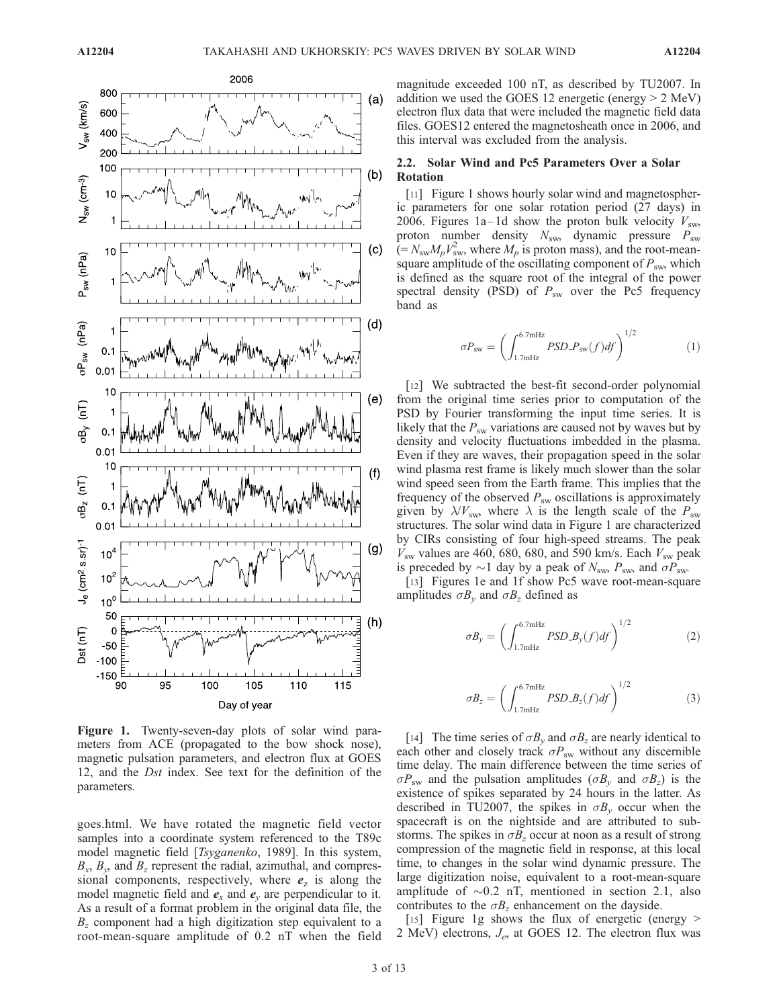

Figure 1. Twenty-seven-day plots of solar wind parameters from ACE (propagated to the bow shock nose), magnetic pulsation parameters, and electron flux at GOES 12, and the Dst index. See text for the definition of the parameters.

goes.html. We have rotated the magnetic field vector samples into a coordinate system referenced to the T89c model magnetic field [Tsyganenko, 1989]. In this system,  $B_x$ ,  $B_y$ , and  $B_z$  represent the radial, azimuthal, and compressional components, respectively, where  $e_z$  is along the model magnetic field and  $e_x$  and  $e_y$  are perpendicular to it. As a result of a format problem in the original data file, the  $B<sub>z</sub>$  component had a high digitization step equivalent to a root-mean-square amplitude of 0.2 nT when the field magnitude exceeded 100 nT, as described by TU2007. In addition we used the GOES 12 energetic (energy > 2 MeV) electron flux data that were included the magnetic field data files. GOES12 entered the magnetosheath once in 2006, and this interval was excluded from the analysis.

# 2.2. Solar Wind and Pc5 Parameters Over a Solar Rotation

[11] Figure 1 shows hourly solar wind and magnetospheric parameters for one solar rotation period (27 days) in 2006. Figures 1a-1d show the proton bulk velocity  $V_{\text{sw}}$ , proton number density  $N_{\text{sw}}$ , dynamic pressure  $P_{\text{sw}}$  $= N_{\text{sw}} M_p V_{\text{sw}}^2$ , where  $M_p$  is proton mass), and the root-meansquare amplitude of the oscillating component of  $P_{sw}$ , which is defined as the square root of the integral of the power spectral density (PSD) of  $P_{sw}$  over the Pc5 frequency band as

$$
\sigma P_{\rm sw} = \left( \int_{1.7 \text{mHz}}^{6.7 \text{mHz}} PSD_{\rm sw}(f) df \right)^{1/2} \tag{1}
$$

[12] We subtracted the best-fit second-order polynomial from the original time series prior to computation of the PSD by Fourier transforming the input time series. It is likely that the  $P_{sw}$  variations are caused not by waves but by density and velocity fluctuations imbedded in the plasma. Even if they are waves, their propagation speed in the solar wind plasma rest frame is likely much slower than the solar wind speed seen from the Earth frame. This implies that the frequency of the observed  $P_{sw}$  oscillations is approximately given by  $\lambda/V_{\rm sw}$ , where  $\lambda$  is the length scale of the  $P_{\rm sw}$ structures. The solar wind data in Figure 1 are characterized by CIRs consisting of four high-speed streams. The peak  $V_{\rm sw}$  values are 460, 680, 680, and 590 km/s. Each  $V_{\rm sw}$  peak is preceded by  $\sim$ 1 day by a peak of  $N_{\rm sw}$ ,  $P_{\rm sw}$ , and  $\sigma P_{\rm sw}$ .

[13] Figures 1e and 1f show Pc5 wave root-mean-square amplitudes  $\sigma B_v$  and  $\sigma B_z$  defined as

$$
\sigma B_y = \left(\int_{1.7 \text{mHz}}^{6.7 \text{mHz}} PSD B_y(f) df\right)^{1/2} \tag{2}
$$

$$
\sigma B_z = \left(\int_{1.7 \text{mHz}}^{6.7 \text{mHz}} PSD \cdot B_z(f) df\right)^{1/2} \tag{3}
$$

[14] The time series of  $\sigma B_v$  and  $\sigma B_z$  are nearly identical to each other and closely track  $\sigma P_{sw}$  without any discernible time delay. The main difference between the time series of  $\sigma P_{\rm sw}$  and the pulsation amplitudes ( $\sigma B_{\rm v}$  and  $\sigma B_{\rm z}$ ) is the existence of spikes separated by 24 hours in the latter. As described in TU2007, the spikes in  $\sigma B_y$  occur when the spacecraft is on the nightside and are attributed to substorms. The spikes in  $\sigma B_z$  occur at noon as a result of strong compression of the magnetic field in response, at this local time, to changes in the solar wind dynamic pressure. The large digitization noise, equivalent to a root-mean-square amplitude of  $\sim 0.2$  nT, mentioned in section 2.1, also contributes to the  $\sigma B_z$  enhancement on the dayside.

[15] Figure 1g shows the flux of energetic (energy  $>$ 2 MeV) electrons,  $J_e$ , at GOES 12. The electron flux was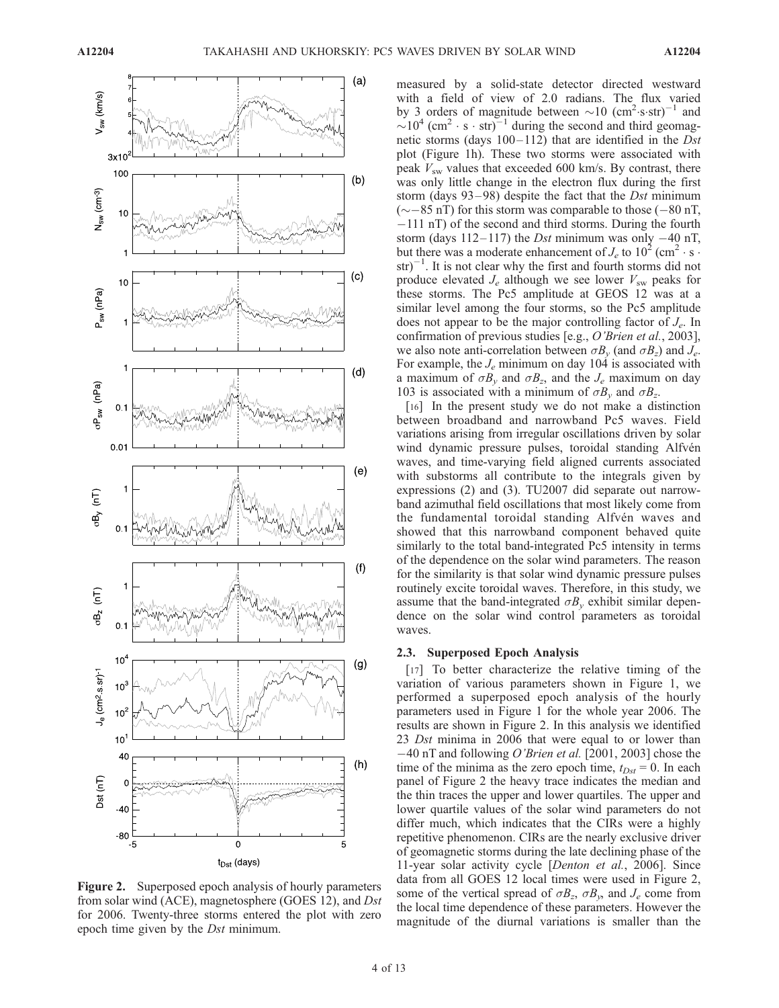

Figure 2. Superposed epoch analysis of hourly parameters from solar wind (ACE), magnetosphere (GOES 12), and Dst for 2006. Twenty-three storms entered the plot with zero epoch time given by the Dst minimum.

measured by a solid-state detector directed westward with a field of view of 2.0 radians. The flux varied by 3 orders of magnitude between  $\sim$ 10 (cm<sup>2</sup>·s·str)<sup>-1</sup> and  $\sim 10^4$  (cm<sup>2</sup> · s · str)<sup>-1</sup> during the second and third geomagnetic storms (days  $100 - 112$ ) that are identified in the *Dst* plot (Figure 1h). These two storms were associated with peak  $V_{sw}$  values that exceeded 600 km/s. By contrast, there was only little change in the electron flux during the first storm (days  $93-98$ ) despite the fact that the *Dst* minimum  $(\sim -85 \text{ nT})$  for this storm was comparable to those  $(-80 \text{ nT})$ ,  $-111$  nT) of the second and third storms. During the fourth storm (days  $112-117$ ) the *Dst* minimum was only  $-40$  nT, but there was a moderate enhancement of  $J_e$  to  $10^2$  (cm<sup>2</sup> · s ·  $str)^{-1}$ . It is not clear why the first and fourth storms did not produce elevated  $J_e$  although we see lower  $V_{sw}$  peaks for these storms. The Pc5 amplitude at GEOS 12 was at a similar level among the four storms, so the Pc5 amplitude does not appear to be the major controlling factor of  $J_e$ . In confirmation of previous studies [e.g., O'Brien et al., 2003], we also note anti-correlation between  $\sigma B_y$  (and  $\sigma B_z$ ) and  $J_e$ . For example, the  $J_e$  minimum on day 104 is associated with a maximum of  $\sigma B_y$  and  $\sigma B_z$ , and the  $J_e$  maximum on day 103 is associated with a minimum of  $\sigma B_v$  and  $\sigma B_z$ .

[16] In the present study we do not make a distinction between broadband and narrowband Pc5 waves. Field variations arising from irregular oscillations driven by solar wind dynamic pressure pulses, toroidal standing Alfvén waves, and time-varying field aligned currents associated with substorms all contribute to the integrals given by expressions (2) and (3). TU2007 did separate out narrowband azimuthal field oscillations that most likely come from the fundamental toroidal standing Alfvén waves and showed that this narrowband component behaved quite similarly to the total band-integrated Pc5 intensity in terms of the dependence on the solar wind parameters. The reason for the similarity is that solar wind dynamic pressure pulses routinely excite toroidal waves. Therefore, in this study, we assume that the band-integrated  $\sigma B_y$  exhibit similar dependence on the solar wind control parameters as toroidal waves.

# 2.3. Superposed Epoch Analysis

[17] To better characterize the relative timing of the variation of various parameters shown in Figure 1, we performed a superposed epoch analysis of the hourly parameters used in Figure 1 for the whole year 2006. The results are shown in Figure 2. In this analysis we identified 23 Dst minima in 2006 that were equal to or lower than  $-40$  nT and following *O'Brien et al.* [2001, 2003] chose the time of the minima as the zero epoch time,  $t_{Dst} = 0$ . In each panel of Figure 2 the heavy trace indicates the median and the thin traces the upper and lower quartiles. The upper and lower quartile values of the solar wind parameters do not differ much, which indicates that the CIRs were a highly repetitive phenomenon. CIRs are the nearly exclusive driver of geomagnetic storms during the late declining phase of the 11-year solar activity cycle [Denton et al., 2006]. Since data from all GOES 12 local times were used in Figure 2, some of the vertical spread of  $\sigma B_z$ ,  $\sigma B_y$ , and  $J_e$  come from the local time dependence of these parameters. However the magnitude of the diurnal variations is smaller than the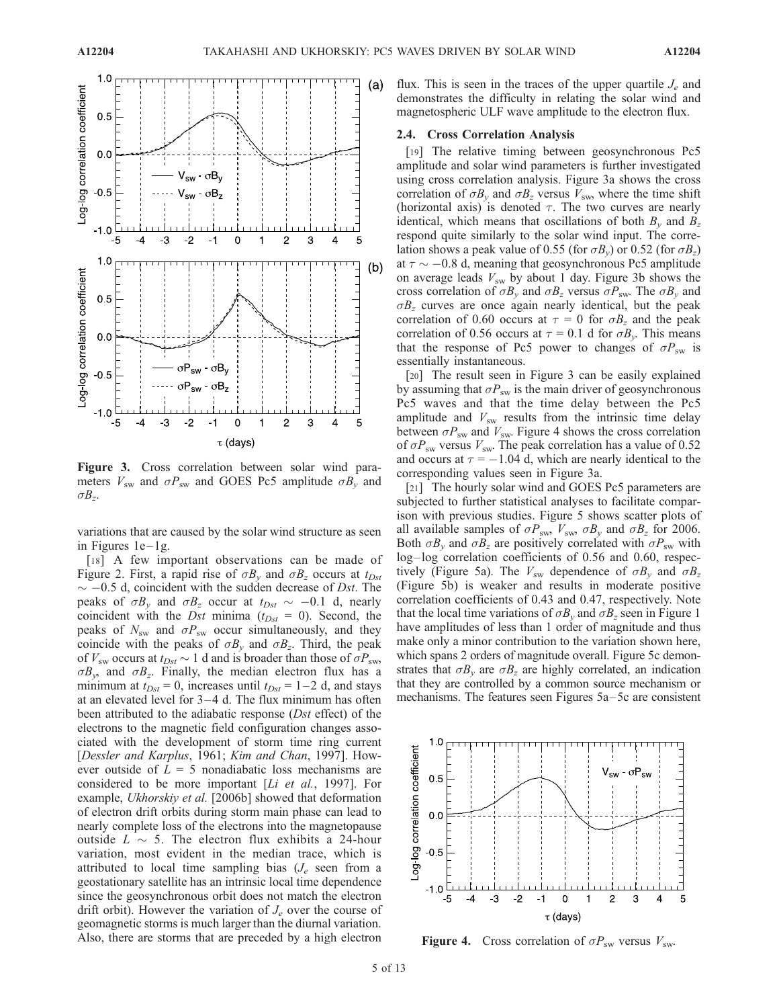

Figure 3. Cross correlation between solar wind parameters  $V_{\text{sw}}$  and  $\sigma P_{\text{sw}}$  and GOES Pc5 amplitude  $\sigma B_{v}$  and  $\sigma B_z$ .

variations that are caused by the solar wind structure as seen in Figures  $1e-1g$ .

[18] A few important observations can be made of Figure 2. First, a rapid rise of  $\sigma B_y$  and  $\sigma B_z$  occurs at  $t_{Dst}$  $\sim -0.5$  d, coincident with the sudden decrease of *Dst*. The peaks of  $\sigma B_y$  and  $\sigma B_z$  occur at  $t_{Dst} \sim -0.1$  d, nearly coincident with the *Dst* minima ( $t_{Dst} = 0$ ). Second, the peaks of  $N_{\rm sw}$  and  $\sigma P_{\rm sw}$  occur simultaneously, and they coincide with the peaks of  $\sigma B_y$  and  $\sigma B_z$ . Third, the peak of  $V_{\text{sw}}$  occurs at  $t_{Dst} \sim 1$  d and is broader than those of  $\sigma P_{\text{sw}}$ ,  $\sigma B_{\nu}$ , and  $\sigma B_{z}$ . Finally, the median electron flux has a minimum at  $t_{Dst} = 0$ , increases until  $t_{Dst} = 1 - 2$  d, and stays at an elevated level for 3-4 d. The flux minimum has often been attributed to the adiabatic response (*Dst* effect) of the electrons to the magnetic field configuration changes associated with the development of storm time ring current [Dessler and Karplus, 1961; Kim and Chan, 1997]. However outside of  $L = 5$  nonadiabatic loss mechanisms are considered to be more important [Li et al., 1997]. For example, Ukhorskiy et al. [2006b] showed that deformation of electron drift orbits during storm main phase can lead to nearly complete loss of the electrons into the magnetopause outside  $L \sim 5$ . The electron flux exhibits a 24-hour variation, most evident in the median trace, which is attributed to local time sampling bias  $(J_e$  seen from a geostationary satellite has an intrinsic local time dependence since the geosynchronous orbit does not match the electron drift orbit). However the variation of  $J_e$  over the course of geomagnetic storms is much larger than the diurnal variation. Also, there are storms that are preceded by a high electron

flux. This is seen in the traces of the upper quartile  $J_e$  and demonstrates the difficulty in relating the solar wind and magnetospheric ULF wave amplitude to the electron flux.

#### 2.4. Cross Correlation Analysis

[19] The relative timing between geosynchronous Pc5 amplitude and solar wind parameters is further investigated using cross correlation analysis. Figure 3a shows the cross correlation of  $\sigma B_y$  and  $\sigma B_z$  versus  $V_{sw}$ , where the time shift (horizontal axis) is denoted  $\tau$ . The two curves are nearly identical, which means that oscillations of both  $B<sub>v</sub>$  and  $B<sub>z</sub>$ respond quite similarly to the solar wind input. The correlation shows a peak value of 0.55 (for  $\sigma B_y$ ) or 0.52 (for  $\sigma B_z$ ) at  $\tau \sim -0.8$  d, meaning that geosynchronous Pc5 amplitude on average leads  $V_{\text{sw}}$  by about 1 day. Figure 3b shows the cross correlation of  $\sigma B_y$  and  $\sigma B_z$  versus  $\sigma P_{sw}$ . The  $\sigma B_y$  and  $\sigma B_z$  curves are once again nearly identical, but the peak correlation of 0.60 occurs at  $\tau = 0$  for  $\sigma B_z$  and the peak correlation of 0.56 occurs at  $\tau = 0.1$  d for  $\sigma B_{\nu}$ . This means that the response of Pc5 power to changes of  $\sigma P_{sw}$  is essentially instantaneous.

[20] The result seen in Figure 3 can be easily explained by assuming that  $\sigma P_{sw}$  is the main driver of geosynchronous Pc5 waves and that the time delay between the Pc5 amplitude and  $V_{sw}$  results from the intrinsic time delay between  $\sigma P_{\text{sw}}$  and  $V_{\text{sw}}$ . Figure 4 shows the cross correlation of  $\sigma P_{sw}$  versus  $V_{sw}$ . The peak correlation has a value of 0.52 and occurs at  $\tau = -1.04$  d, which are nearly identical to the corresponding values seen in Figure 3a.

[21] The hourly solar wind and GOES Pc5 parameters are subjected to further statistical analyses to facilitate comparison with previous studies. Figure 5 shows scatter plots of all available samples of  $\sigma P_{\text{sw}}$ ,  $V_{\text{sw}}$ ,  $\sigma B_y$  and  $\sigma B_z$  for 2006. Both  $\sigma B_y$  and  $\sigma B_z$  are positively correlated with  $\sigma P_{sw}$  with log-log correlation coefficients of 0.56 and 0.60, respectively (Figure 5a). The  $V_{sw}$  dependence of  $\sigma B_y$  and  $\sigma B_z$ (Figure 5b) is weaker and results in moderate positive correlation coefficients of 0.43 and 0.47, respectively. Note that the local time variations of  $\sigma B_{\nu}$  and  $\sigma B_{z}$  seen in Figure 1 have amplitudes of less than 1 order of magnitude and thus make only a minor contribution to the variation shown here, which spans 2 orders of magnitude overall. Figure 5c demonstrates that  $\sigma B_{\nu}$  are  $\sigma B_{z}$  are highly correlated, an indication that they are controlled by a common source mechanism or mechanisms. The features seen Figures 5a–5c are consistent



Figure 4. Cross correlation of  $\sigma P_{\rm sw}$  versus  $V_{\rm sw}$ .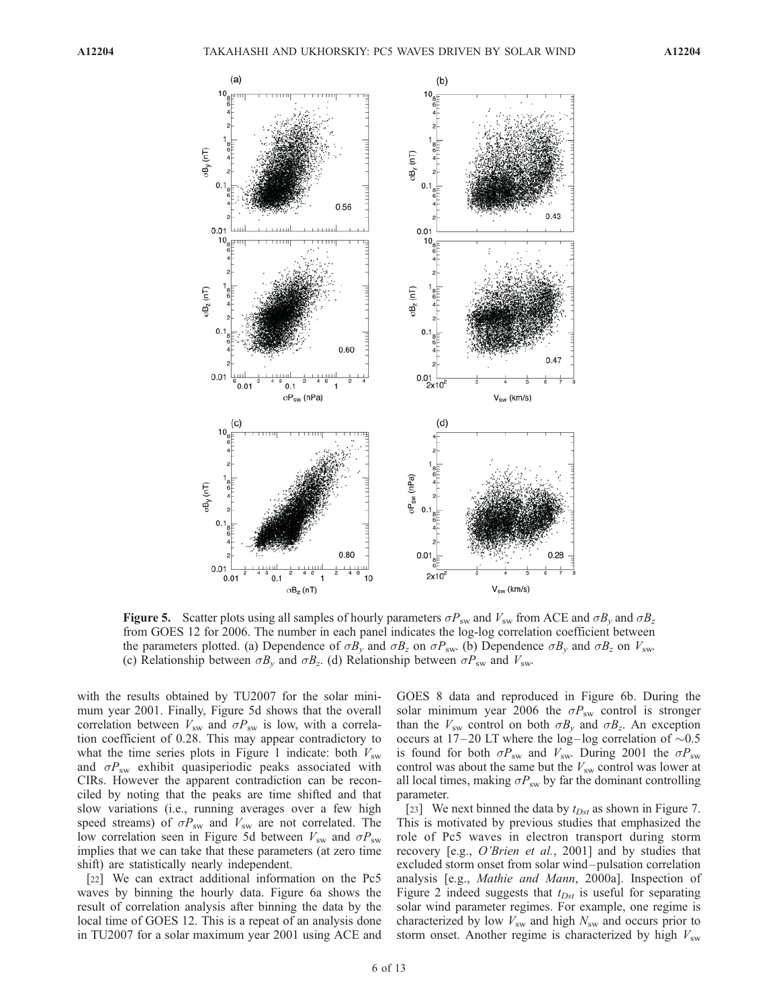

Figure 5. Scatter plots using all samples of hourly parameters  $\sigma P_{sw}$  and  $V_{sw}$  from ACE and  $\sigma B_y$  and  $\sigma B_z$ from GOES 12 for 2006. The number in each panel indicates the log-log correlation coefficient between the parameters plotted. (a) Dependence of  $\sigma B_y$  and  $\sigma B_z$  on  $\sigma P_{sw}$ . (b) Dependence  $\sigma B_y$  and  $\sigma B_z$  on  $V_{sw}$ . (c) Relationship between  $\sigma B_y$  and  $\sigma B_z$ . (d) Relationship between  $\sigma P_{sw}$  and  $V_{sw}$ .

with the results obtained by TU2007 for the solar minimum year 2001. Finally, Figure 5d shows that the overall correlation between  $V_{\text{sw}}$  and  $\sigma P_{\text{sw}}$  is low, with a correlation coefficient of 0.28. This may appear contradictory to what the time series plots in Figure 1 indicate: both  $V_{\text{sw}}$ and  $\sigma P_{\rm sw}$  exhibit quasiperiodic peaks associated with CIRs. However the apparent contradiction can be reconciled by noting that the peaks are time shifted and that slow variations (i.e., running averages over a few high speed streams) of  $\sigma P_{sw}$  and  $V_{sw}$  are not correlated. The low correlation seen in Figure 5d between  $V_{\text{sw}}$  and  $\sigma P_{\text{sw}}$ implies that we can take that these parameters (at zero time shift) are statistically nearly independent.

[22] We can extract additional information on the Pc5 waves by binning the hourly data. Figure 6a shows the result of correlation analysis after binning the data by the local time of GOES 12. This is a repeat of an analysis done in TU2007 for a solar maximum year 2001 using ACE and GOES 8 data and reproduced in Figure 6b. During the solar minimum year 2006 the  $\sigma P_{sw}$  control is stronger than the  $V_{sw}$  control on both  $\sigma B_y$  and  $\sigma B_z$ . An exception occurs at  $17-20$  LT where the log-log correlation of  $\sim 0.5$ is found for both  $\sigma P_{sw}$  and  $V_{sw}$ . During 2001 the  $\sigma P_{sw}$ control was about the same but the  $V_{\rm sw}$  control was lower at all local times, making  $\sigma P_{sw}$  by far the dominant controlling parameter.

[23] We next binned the data by  $t_{Dst}$  as shown in Figure 7. This is motivated by previous studies that emphasized the role of Pc5 waves in electron transport during storm recovery [e.g., O'Brien et al., 2001] and by studies that excluded storm onset from solar wind – pulsation correlation analysis [e.g., Mathie and Mann, 2000a]. Inspection of Figure 2 indeed suggests that  $t_{Dst}$  is useful for separating solar wind parameter regimes. For example, one regime is characterized by low  $V_{\text{sw}}$  and high  $N_{\text{sw}}$  and occurs prior to storm onset. Another regime is characterized by high  $V_{sw}$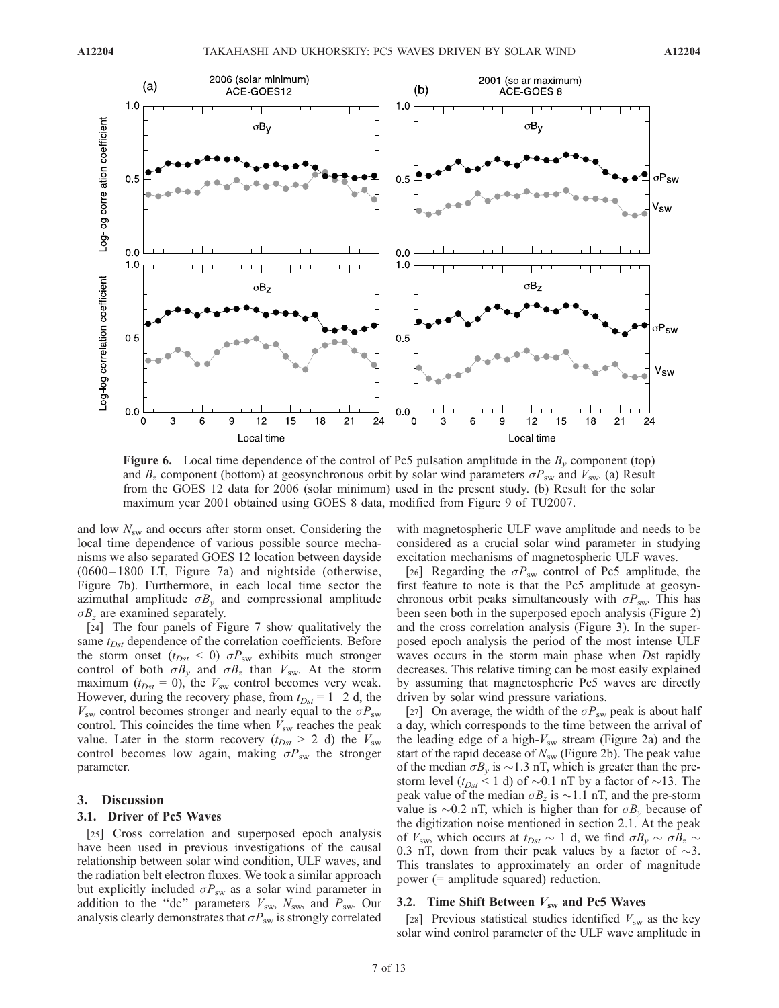

**Figure 6.** Local time dependence of the control of Pc5 pulsation amplitude in the  $B_y$  component (top) and  $B_z$  component (bottom) at geosynchronous orbit by solar wind parameters  $\sigma P_{sw}$  and  $V_{sw}$  (a) Result from the GOES 12 data for 2006 (solar minimum) used in the present study. (b) Result for the solar maximum year 2001 obtained using GOES 8 data, modified from Figure 9 of TU2007.

and low  $N_{\rm sw}$  and occurs after storm onset. Considering the local time dependence of various possible source mechanisms we also separated GOES 12 location between dayside (0600 – 1800 LT, Figure 7a) and nightside (otherwise, Figure 7b). Furthermore, in each local time sector the azimuthal amplitude  $\sigma B_y$  and compressional amplitude  $\sigma B_z$  are examined separately.

[24] The four panels of Figure 7 show qualitatively the same  $t_{Dst}$  dependence of the correlation coefficients. Before the storm onset ( $t_{Dst}$  < 0)  $\sigma P_{sw}$  exhibits much stronger control of both  $\sigma B_y$  and  $\sigma B_z$  than  $V_{sw}$ . At the storm maximum ( $t_{Dst} = 0$ ), the  $V_{sw}$  control becomes very weak. However, during the recovery phase, from  $t_{Dst} = 1 - 2$  d, the  $V_{\rm sw}$  control becomes stronger and nearly equal to the  $\sigma P_{\rm sw}$ control. This coincides the time when  $V_{sw}$  reaches the peak value. Later in the storm recovery  $(t_{Dst} > 2 \text{ d})$  the  $V_{sw}$ control becomes low again, making  $\sigma P_{sw}$  the stronger parameter.

#### 3. Discussion

#### 3.1. Driver of Pc5 Waves

[25] Cross correlation and superposed epoch analysis have been used in previous investigations of the causal relationship between solar wind condition, ULF waves, and the radiation belt electron fluxes. We took a similar approach but explicitly included  $\sigma P_{sw}$  as a solar wind parameter in addition to the "dc" parameters  $V_{\text{sw}}$ ,  $N_{\text{sw}}$ , and  $P_{\text{sw}}$ . Our analysis clearly demonstrates that  $\sigma P_{\rm sw}$  is strongly correlated

with magnetospheric ULF wave amplitude and needs to be considered as a crucial solar wind parameter in studying excitation mechanisms of magnetospheric ULF waves.

[26] Regarding the  $\sigma P_{sw}$  control of Pc5 amplitude, the first feature to note is that the Pc5 amplitude at geosynchronous orbit peaks simultaneously with  $\sigma P_{\text{sw}}$ . This has been seen both in the superposed epoch analysis (Figure 2) and the cross correlation analysis (Figure 3). In the superposed epoch analysis the period of the most intense ULF waves occurs in the storm main phase when Dst rapidly decreases. This relative timing can be most easily explained by assuming that magnetospheric Pc5 waves are directly driven by solar wind pressure variations.

[27] On average, the width of the  $\sigma P_{sw}$  peak is about half a day, which corresponds to the time between the arrival of the leading edge of a high- $V_{\text{sw}}$  stream (Figure 2a) and the start of the rapid decease of  $N_{\rm sw}$  (Figure 2b). The peak value of the median  $\sigma B_y$  is  $\sim$ 1.3 nT, which is greater than the prestorm level ( $t_{Dst}$  < 1 d) of  $\sim$ 0.1 nT by a factor of  $\sim$ 13. The peak value of the median  $\sigma B_z$  is  $\sim$ 1.1 nT, and the pre-storm value is  $\sim$ 0.2 nT, which is higher than for  $\sigma B_y$  because of the digitization noise mentioned in section 2.1. At the peak of  $V_{\rm sw}$ , which occurs at  $t_{Dst} \sim 1$  d, we find  $\sigma B_y \sim \sigma B_z \sim$ 0.3 nT, down from their peak values by a factor of  $\sim$ 3. This translates to approximately an order of magnitude power (= amplitude squared) reduction.

# 3.2. Time Shift Between  $V_{sw}$  and Pc5 Waves

[28] Previous statistical studies identified  $V_{\rm sw}$  as the key solar wind control parameter of the ULF wave amplitude in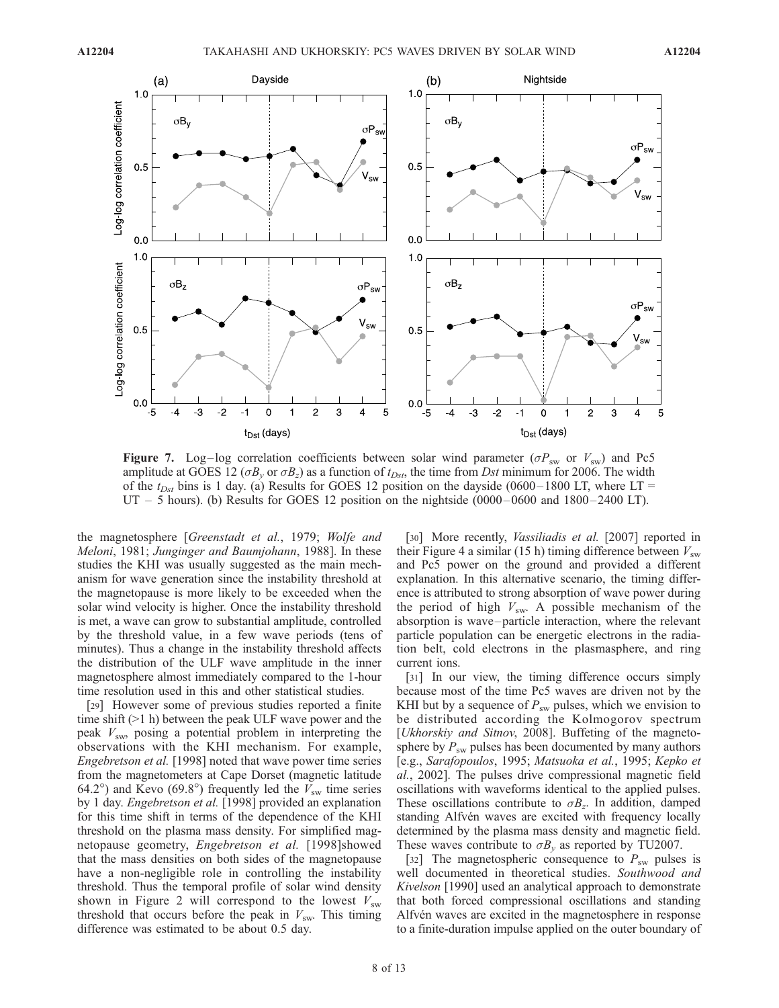

Figure 7. Log-log correlation coefficients between solar wind parameter ( $\sigma P_{sw}$  or  $V_{sw}$ ) and Pc5 amplitude at GOES 12 ( $\sigma B_y$  or  $\sigma B_z$ ) as a function of  $t_{Dst}$ , the time from Dst minimum for 2006. The width of the  $t_{Dst}$  bins is 1 day. (a) Results for GOES 12 position on the dayside (0600–1800 LT, where LT = UT – 5 hours). (b) Results for GOES 12 position on the nightside  $(0000-0600$  and  $1800-2400$  LT).

the magnetosphere [Greenstadt et al., 1979; Wolfe and Meloni, 1981; Junginger and Baumjohann, 1988]. In these studies the KHI was usually suggested as the main mechanism for wave generation since the instability threshold at the magnetopause is more likely to be exceeded when the solar wind velocity is higher. Once the instability threshold is met, a wave can grow to substantial amplitude, controlled by the threshold value, in a few wave periods (tens of minutes). Thus a change in the instability threshold affects the distribution of the ULF wave amplitude in the inner magnetosphere almost immediately compared to the 1-hour time resolution used in this and other statistical studies.

[29] However some of previous studies reported a finite time shift (>1 h) between the peak ULF wave power and the peak  $V_{\text{sw}}$ , posing a potential problem in interpreting the observations with the KHI mechanism. For example, Engebretson et al. [1998] noted that wave power time series from the magnetometers at Cape Dorset (magnetic latitude 64.2°) and Kevo (69.8°) frequently led the  $V_{sw}$  time series by 1 day. Engebretson et al. [1998] provided an explanation for this time shift in terms of the dependence of the KHI threshold on the plasma mass density. For simplified magnetopause geometry, Engebretson et al. [1998]showed that the mass densities on both sides of the magnetopause have a non-negligible role in controlling the instability threshold. Thus the temporal profile of solar wind density shown in Figure 2 will correspond to the lowest  $V_{\text{sw}}$ threshold that occurs before the peak in  $V_{\text{sw}}$ . This timing difference was estimated to be about 0.5 day.

[30] More recently, *Vassiliadis et al.* [2007] reported in their Figure 4 a similar (15 h) timing difference between  $V_{sw}$ and Pc5 power on the ground and provided a different explanation. In this alternative scenario, the timing difference is attributed to strong absorption of wave power during the period of high  $V_{\text{sw}}$ . A possible mechanism of the absorption is wave –particle interaction, where the relevant particle population can be energetic electrons in the radiation belt, cold electrons in the plasmasphere, and ring current ions.

[31] In our view, the timing difference occurs simply because most of the time Pc5 waves are driven not by the KHI but by a sequence of  $P_{sw}$  pulses, which we envision to be distributed according the Kolmogorov spectrum [Ukhorskiy and Sitnov, 2008]. Buffeting of the magnetosphere by  $P_{sw}$  pulses has been documented by many authors [e.g., Sarafopoulos, 1995; Matsuoka et al., 1995; Kepko et al., 2002]. The pulses drive compressional magnetic field oscillations with waveforms identical to the applied pulses. These oscillations contribute to  $\sigma B_z$ . In addition, damped standing Alfvén waves are excited with frequency locally determined by the plasma mass density and magnetic field. These waves contribute to  $\sigma B_{v}$  as reported by TU2007.

[32] The magnetospheric consequence to  $P_{sw}$  pulses is well documented in theoretical studies. Southwood and Kivelson [1990] used an analytical approach to demonstrate that both forced compressional oscillations and standing Alfvén waves are excited in the magnetosphere in response to a finite-duration impulse applied on the outer boundary of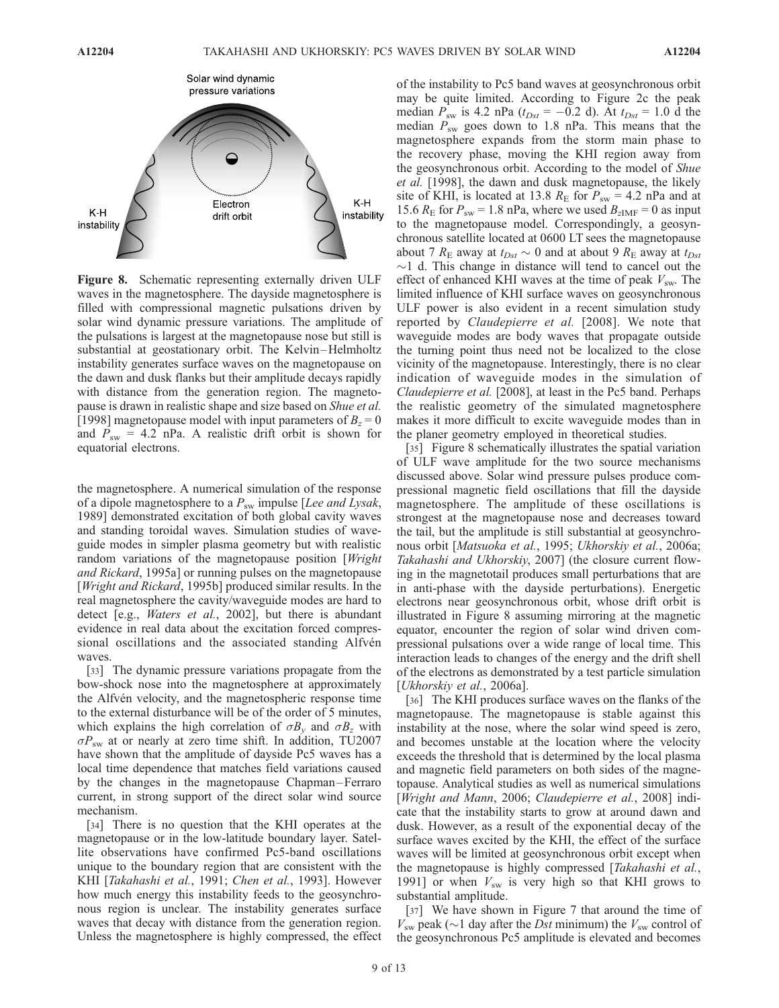

Figure 8. Schematic representing externally driven ULF waves in the magnetosphere. The dayside magnetosphere is filled with compressional magnetic pulsations driven by solar wind dynamic pressure variations. The amplitude of the pulsations is largest at the magnetopause nose but still is substantial at geostationary orbit. The Kelvin–Helmholtz instability generates surface waves on the magnetopause on the dawn and dusk flanks but their amplitude decays rapidly with distance from the generation region. The magnetopause is drawn in realistic shape and size based on Shue et al. [1998] magnetopause model with input parameters of  $B_z = 0$ and  $P_{sw} = 4.2$  nPa. A realistic drift orbit is shown for equatorial electrons.

the magnetosphere. A numerical simulation of the response of a dipole magnetosphere to a  $P_{sw}$  impulse [Lee and Lysak, 1989] demonstrated excitation of both global cavity waves and standing toroidal waves. Simulation studies of waveguide modes in simpler plasma geometry but with realistic random variations of the magnetopause position [Wright and Rickard, 1995a] or running pulses on the magnetopause [Wright and Rickard, 1995b] produced similar results. In the real magnetosphere the cavity/waveguide modes are hard to detect [e.g., *Waters et al.*, 2002], but there is abundant evidence in real data about the excitation forced compressional oscillations and the associated standing Alfvén waves.

[33] The dynamic pressure variations propagate from the bow-shock nose into the magnetosphere at approximately the Alfvén velocity, and the magnetospheric response time to the external disturbance will be of the order of 5 minutes, which explains the high correlation of  $\sigma B_{\nu}$  and  $\sigma B_{z}$  with  $\sigma P_{\text{sw}}$  at or nearly at zero time shift. In addition, TU2007 have shown that the amplitude of dayside Pc5 waves has a local time dependence that matches field variations caused by the changes in the magnetopause Chapman –Ferraro current, in strong support of the direct solar wind source mechanism.

[34] There is no question that the KHI operates at the magnetopause or in the low-latitude boundary layer. Satellite observations have confirmed Pc5-band oscillations unique to the boundary region that are consistent with the KHI [Takahashi et al., 1991; Chen et al., 1993]. However how much energy this instability feeds to the geosynchronous region is unclear. The instability generates surface waves that decay with distance from the generation region. Unless the magnetosphere is highly compressed, the effect of the instability to Pc5 band waves at geosynchronous orbit may be quite limited. According to Figure 2c the peak median  $P_{sw}$  is 4.2 nPa ( $t_{Dst} = -0.2$  d). At  $t_{Dst} = 1.0$  d the median  $P_{sw}$  goes down to 1.8 nPa. This means that the magnetosphere expands from the storm main phase to the recovery phase, moving the KHI region away from the geosynchronous orbit. According to the model of Shue et al. [1998], the dawn and dusk magnetopause, the likely site of KHI, is located at 13.8  $R<sub>E</sub>$  for  $P<sub>sw</sub> = 4.2$  nPa and at 15.6  $R_E$  for  $P_{sw}$  = 1.8 nPa, where we used  $B_{zIMF}$  = 0 as input to the magnetopause model. Correspondingly, a geosynchronous satellite located at 0600 LT sees the magnetopause about 7  $R_{\rm E}$  away at  $t_{Dst} \sim 0$  and at about 9  $R_{\rm E}$  away at  $t_{Dst}$  $\sim$ 1 d. This change in distance will tend to cancel out the effect of enhanced KHI waves at the time of peak  $V_{\text{sw}}$ . The limited influence of KHI surface waves on geosynchronous ULF power is also evident in a recent simulation study reported by Claudepierre et al. [2008]. We note that waveguide modes are body waves that propagate outside the turning point thus need not be localized to the close vicinity of the magnetopause. Interestingly, there is no clear indication of waveguide modes in the simulation of Claudepierre et al. [2008], at least in the Pc5 band. Perhaps the realistic geometry of the simulated magnetosphere makes it more difficult to excite waveguide modes than in the planer geometry employed in theoretical studies.

[35] Figure 8 schematically illustrates the spatial variation of ULF wave amplitude for the two source mechanisms discussed above. Solar wind pressure pulses produce compressional magnetic field oscillations that fill the dayside magnetosphere. The amplitude of these oscillations is strongest at the magnetopause nose and decreases toward the tail, but the amplitude is still substantial at geosynchronous orbit [Matsuoka et al., 1995; Ukhorskiy et al., 2006a; Takahashi and Ukhorskiy, 2007] (the closure current flowing in the magnetotail produces small perturbations that are in anti-phase with the dayside perturbations). Energetic electrons near geosynchronous orbit, whose drift orbit is illustrated in Figure 8 assuming mirroring at the magnetic equator, encounter the region of solar wind driven compressional pulsations over a wide range of local time. This interaction leads to changes of the energy and the drift shell of the electrons as demonstrated by a test particle simulation [Ukhorskiy et al., 2006a].

[36] The KHI produces surface waves on the flanks of the magnetopause. The magnetopause is stable against this instability at the nose, where the solar wind speed is zero, and becomes unstable at the location where the velocity exceeds the threshold that is determined by the local plasma and magnetic field parameters on both sides of the magnetopause. Analytical studies as well as numerical simulations [Wright and Mann, 2006; Claudepierre et al., 2008] indicate that the instability starts to grow at around dawn and dusk. However, as a result of the exponential decay of the surface waves excited by the KHI, the effect of the surface waves will be limited at geosynchronous orbit except when the magnetopause is highly compressed [Takahashi et al., 1991] or when  $V_{sw}$  is very high so that KHI grows to substantial amplitude.

[37] We have shown in Figure 7 that around the time of  $V_{\text{sw}}$  peak ( $\sim$ 1 day after the *Dst* minimum) the  $V_{\text{sw}}$  control of the geosynchronous Pc5 amplitude is elevated and becomes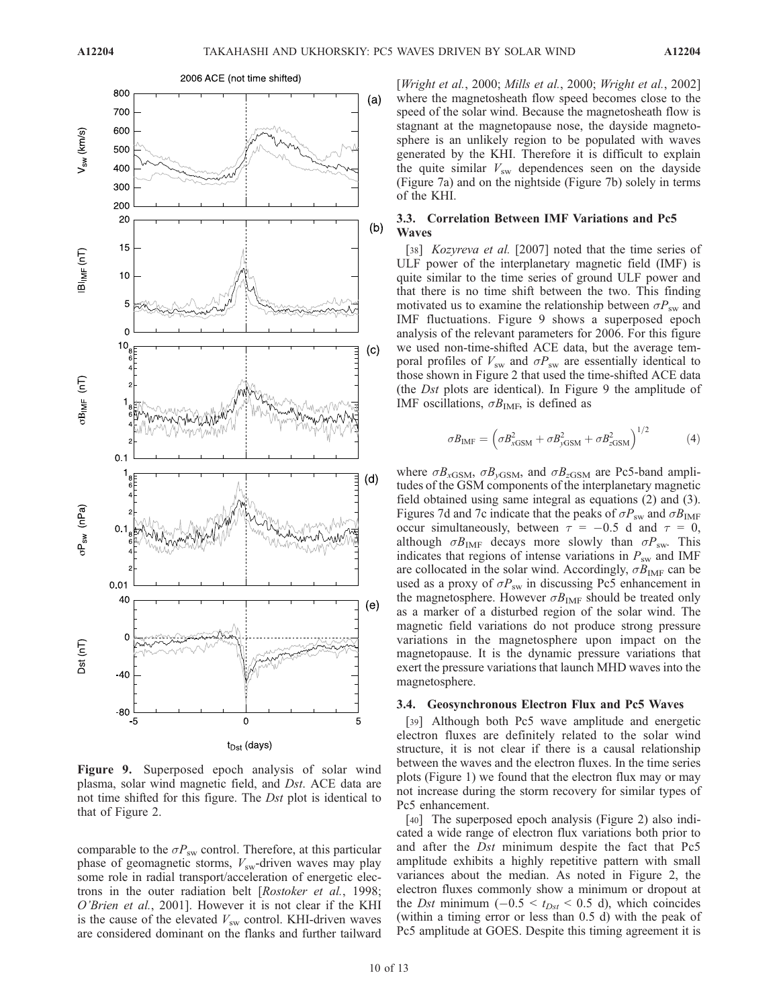

Figure 9. Superposed epoch analysis of solar wind plasma, solar wind magnetic field, and Dst. ACE data are not time shifted for this figure. The *Dst* plot is identical to that of Figure 2.

comparable to the  $\sigma P_{sw}$  control. Therefore, at this particular phase of geomagnetic storms,  $V_{sw}$ -driven waves may play some role in radial transport/acceleration of energetic electrons in the outer radiation belt [Rostoker et al., 1998; O'Brien et al., 2001]. However it is not clear if the KHI is the cause of the elevated  $V_{\text{sw}}$  control. KHI-driven waves are considered dominant on the flanks and further tailward [Wright et al., 2000; Mills et al., 2000; Wright et al., 2002] where the magnetosheath flow speed becomes close to the speed of the solar wind. Because the magnetosheath flow is stagnant at the magnetopause nose, the dayside magnetosphere is an unlikely region to be populated with waves generated by the KHI. Therefore it is difficult to explain the quite similar  $V_{sw}$  dependences seen on the dayside (Figure 7a) and on the nightside (Figure 7b) solely in terms of the KHI.

# 3.3. Correlation Between IMF Variations and Pc5 Waves

[38] Kozyreva et al. [2007] noted that the time series of ULF power of the interplanetary magnetic field (IMF) is quite similar to the time series of ground ULF power and that there is no time shift between the two. This finding motivated us to examine the relationship between  $\sigma P_{\rm sw}$  and IMF fluctuations. Figure 9 shows a superposed epoch analysis of the relevant parameters for 2006. For this figure we used non-time-shifted ACE data, but the average temporal profiles of  $V_{\text{sw}}$  and  $\sigma P_{\text{sw}}$  are essentially identical to those shown in Figure 2 that used the time-shifted ACE data (the  $Dst$  plots are identical). In Figure 9 the amplitude of IMF oscillations,  $\sigma B_{\text{IMF}}$ , is defined as

$$
\sigma B_{\rm IMF} = \left(\sigma B_{x\rm GSM}^2 + \sigma B_{y\rm GSM}^2 + \sigma B_{z\rm GSM}^2\right)^{1/2} \tag{4}
$$

where  $\sigma B_{xGSM}$ ,  $\sigma B_{yGSM}$ , and  $\sigma B_{zGSM}$  are Pc5-band amplitudes of the GSM components of the interplanetary magnetic field obtained using same integral as equations (2) and (3). Figures 7d and 7c indicate that the peaks of  $\sigma P_{\text{sw}}$  and  $\sigma B_{\text{IMF}}$ occur simultaneously, between  $\tau = -0.5$  d and  $\tau = 0$ , although  $\sigma B_{\text{IMF}}$  decays more slowly than  $\sigma P_{\text{sw}}$ . This indicates that regions of intense variations in  $P_{sw}$  and IMF are collocated in the solar wind. Accordingly,  $\sigma B_{\text{IMF}}$  can be used as a proxy of  $\sigma P_{\text{sw}}$  in discussing Pc5 enhancement in the magnetosphere. However  $\sigma B_{\text{IMF}}$  should be treated only as a marker of a disturbed region of the solar wind. The magnetic field variations do not produce strong pressure variations in the magnetosphere upon impact on the magnetopause. It is the dynamic pressure variations that exert the pressure variations that launch MHD waves into the magnetosphere.

#### 3.4. Geosynchronous Electron Flux and Pc5 Waves

[39] Although both Pc5 wave amplitude and energetic electron fluxes are definitely related to the solar wind structure, it is not clear if there is a causal relationship between the waves and the electron fluxes. In the time series plots (Figure 1) we found that the electron flux may or may not increase during the storm recovery for similar types of Pc5 enhancement.

[40] The superposed epoch analysis (Figure 2) also indicated a wide range of electron flux variations both prior to and after the Dst minimum despite the fact that Pc5 amplitude exhibits a highly repetitive pattern with small variances about the median. As noted in Figure 2, the electron fluxes commonly show a minimum or dropout at the *Dst* minimum  $(-0.5 \le t_{Dst} \le 0.5 \text{ d})$ , which coincides (within a timing error or less than 0.5 d) with the peak of Pc5 amplitude at GOES. Despite this timing agreement it is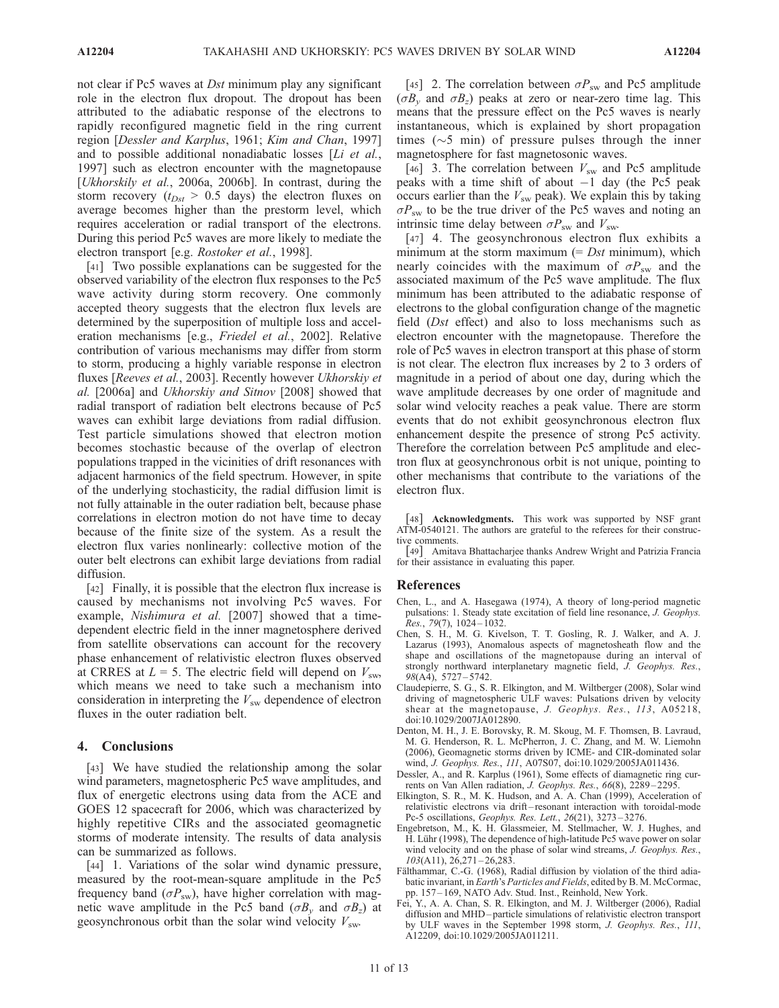not clear if Pc5 waves at Dst minimum play any significant role in the electron flux dropout. The dropout has been attributed to the adiabatic response of the electrons to rapidly reconfigured magnetic field in the ring current region [Dessler and Karplus, 1961; Kim and Chan, 1997] and to possible additional nonadiabatic losses [Li et al., 1997] such as electron encounter with the magnetopause [Ukhorskily et al., 2006a, 2006b]. In contrast, during the storm recovery ( $t_{Dst} > 0.5$  days) the electron fluxes on average becomes higher than the prestorm level, which requires acceleration or radial transport of the electrons. During this period Pc5 waves are more likely to mediate the electron transport [e.g. Rostoker et al., 1998].

[41] Two possible explanations can be suggested for the observed variability of the electron flux responses to the Pc5 wave activity during storm recovery. One commonly accepted theory suggests that the electron flux levels are determined by the superposition of multiple loss and acceleration mechanisms [e.g., Friedel et al., 2002]. Relative contribution of various mechanisms may differ from storm to storm, producing a highly variable response in electron fluxes [Reeves et al., 2003]. Recently however Ukhorskiy et al. [2006a] and Ukhorskiy and Sitnov [2008] showed that radial transport of radiation belt electrons because of Pc5 waves can exhibit large deviations from radial diffusion. Test particle simulations showed that electron motion becomes stochastic because of the overlap of electron populations trapped in the vicinities of drift resonances with adjacent harmonics of the field spectrum. However, in spite of the underlying stochasticity, the radial diffusion limit is not fully attainable in the outer radiation belt, because phase correlations in electron motion do not have time to decay because of the finite size of the system. As a result the electron flux varies nonlinearly: collective motion of the outer belt electrons can exhibit large deviations from radial diffusion.

[42] Finally, it is possible that the electron flux increase is caused by mechanisms not involving Pc5 waves. For example, Nishimura et al. [2007] showed that a timedependent electric field in the inner magnetosphere derived from satellite observations can account for the recovery phase enhancement of relativistic electron fluxes observed at CRRES at  $L = 5$ . The electric field will depend on  $V_{\text{sw}}$ , which means we need to take such a mechanism into consideration in interpreting the  $V_{\text{sw}}$  dependence of electron fluxes in the outer radiation belt.

#### 4. Conclusions

[43] We have studied the relationship among the solar wind parameters, magnetospheric Pc5 wave amplitudes, and flux of energetic electrons using data from the ACE and GOES 12 spacecraft for 2006, which was characterized by highly repetitive CIRs and the associated geomagnetic storms of moderate intensity. The results of data analysis can be summarized as follows.

[44] 1. Variations of the solar wind dynamic pressure, measured by the root-mean-square amplitude in the Pc5 frequency band ( $\sigma P_{\text{sw}}$ ), have higher correlation with magnetic wave amplitude in the Pc5 band ( $\sigma B_y$  and  $\sigma B_z$ ) at geosynchronous orbit than the solar wind velocity  $V_{\text{sw}}$ .

[45] 2. The correlation between  $\sigma P_{sw}$  and Pc5 amplitude  $(\sigma B_y$  and  $\sigma B_z$ ) peaks at zero or near-zero time lag. This means that the pressure effect on the Pc5 waves is nearly instantaneous, which is explained by short propagation times  $(\sim 5 \text{ min})$  of pressure pulses through the inner magnetosphere for fast magnetosonic waves.

[46] 3. The correlation between  $V_{sw}$  and Pc5 amplitude peaks with a time shift of about  $-1$  day (the Pc5 peak occurs earlier than the  $V_{\text{sw}}$  peak). We explain this by taking  $\sigma P_{\text{sw}}$  to be the true driver of the Pc5 waves and noting an intrinsic time delay between  $\sigma P_{\rm sw}$  and  $V_{\rm sw}$ .

[47] 4. The geosynchronous electron flux exhibits a minimum at the storm maximum  $(= D<sub>st</sub>$  minimum), which nearly coincides with the maximum of  $\sigma P_{sw}$  and the associated maximum of the Pc5 wave amplitude. The flux minimum has been attributed to the adiabatic response of electrons to the global configuration change of the magnetic field (*Dst* effect) and also to loss mechanisms such as electron encounter with the magnetopause. Therefore the role of Pc5 waves in electron transport at this phase of storm is not clear. The electron flux increases by 2 to 3 orders of magnitude in a period of about one day, during which the wave amplitude decreases by one order of magnitude and solar wind velocity reaches a peak value. There are storm events that do not exhibit geosynchronous electron flux enhancement despite the presence of strong Pc5 activity. Therefore the correlation between Pc5 amplitude and electron flux at geosynchronous orbit is not unique, pointing to other mechanisms that contribute to the variations of the electron flux.

[48] Acknowledgments. This work was supported by NSF grant ATM-0540121. The authors are grateful to the referees for their constructive comments.

[49] Amitava Bhattacharjee thanks Andrew Wright and Patrizia Francia for their assistance in evaluating this paper.

#### References

- Chen, L., and A. Hasegawa (1974), A theory of long-period magnetic pulsations: 1. Steady state excitation of field line resonance, J. Geophys. Res.,  $79(7)$ ,  $1024 - 1032$ .
- Chen, S. H., M. G. Kivelson, T. T. Gosling, R. J. Walker, and A. J. Lazarus (1993), Anomalous aspects of magnetosheath flow and the shape and oscillations of the magnetopause during an interval of strongly northward interplanetary magnetic field, J. Geophys. Res., 98(A4), 5727 – 5742.
- Claudepierre, S. G., S. R. Elkington, and M. Wiltberger (2008), Solar wind driving of magnetospheric ULF waves: Pulsations driven by velocity shear at the magnetopause, J. Geophys. Res., 113, A05218, doi:10.1029/2007JA012890.
- Denton, M. H., J. E. Borovsky, R. M. Skoug, M. F. Thomsen, B. Lavraud, M. G. Henderson, R. L. McPherron, J. C. Zhang, and M. W. Liemohn (2006), Geomagnetic storms driven by ICME- and CIR-dominated solar wind, J. Geophys. Res., 111, A07S07, doi:10.1029/2005JA011436.
- Dessler, A., and R. Karplus (1961), Some effects of diamagnetic ring currents on Van Allen radiation, J. Geophys. Res., 66(8), 2289-2295.
- Elkington, S. R., M. K. Hudson, and A. A. Chan (1999), Acceleration of relativistic electrons via drift – resonant interaction with toroidal-mode Pc-5 oscillations, Geophys. Res. Lett., 26(21), 3273 – 3276.
- Engebretson, M., K. H. Glassmeier, M. Stellmacher, W. J. Hughes, and H. Lühr (1998), The dependence of high-latitude Pc5 wave power on solar wind velocity and on the phase of solar wind streams, J. Geophys. Res.,  $103(A11), 26, 271 - 26, 283.$
- Fälthammar, C.-G. (1968), Radial diffusion by violation of the third adiabatic invariant, in Earth's Particles and Fields, edited by B. M. McCormac, pp. 157 – 169, NATO Adv. Stud. Inst., Reinhold, New York.
- Fei, Y., A. A. Chan, S. R. Elkington, and M. J. Wiltberger (2006), Radial diffusion and MHD – particle simulations of relativistic electron transport by ULF waves in the September 1998 storm, J. Geophys. Res., 111, A12209, doi:10.1029/2005JA011211.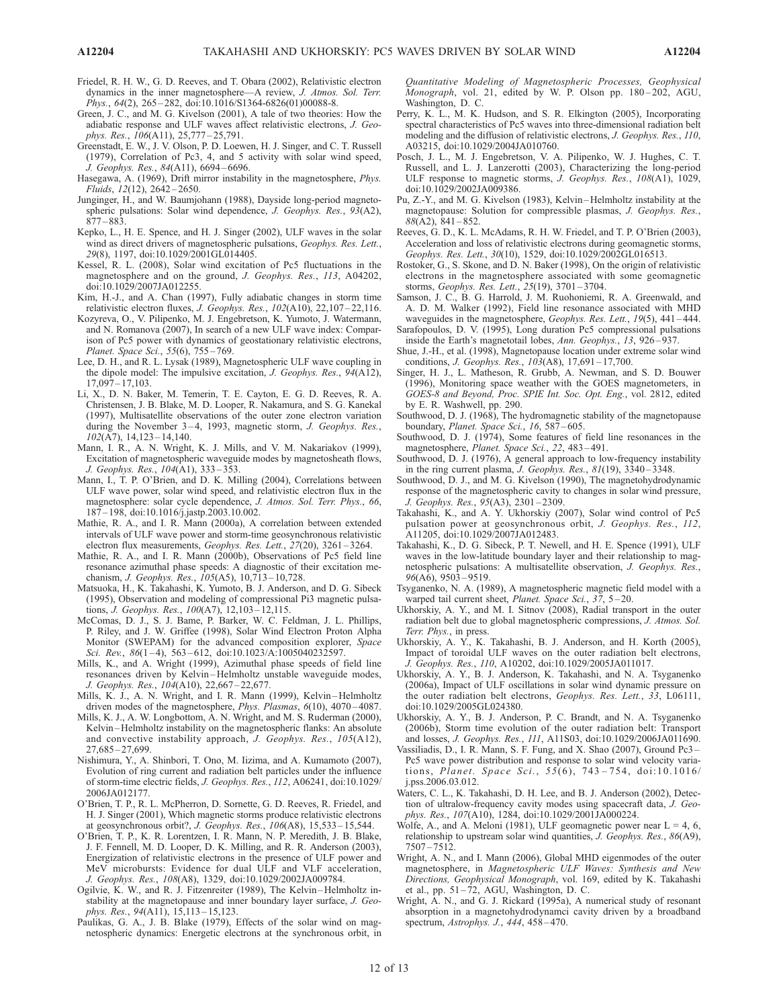- Friedel, R. H. W., G. D. Reeves, and T. Obara (2002), Relativistic electron dynamics in the inner magnetosphere—A review, J. Atmos. Sol. Terr.  $Phys., 64(2), 265-282, doi:10.1016/S1364-6826(01)00088-8.$
- Green, J. C., and M. G. Kivelson (2001), A tale of two theories: How the adiabatic response and ULF waves affect relativistic electrons, J. Geophys. Res., 106(A11), 25,777-25,791.
- Greenstadt, E. W., J. V. Olson, P. D. Loewen, H. J. Singer, and C. T. Russell (1979), Correlation of Pc3, 4, and 5 activity with solar wind speed, J. Geophys. Res., 84(A11), 6694 – 6696.
- Hasegawa, A. (1969), Drift mirror instability in the magnetosphere, Phys. Fluids, 12(12), 2642 – 2650.
- Junginger, H., and W. Baumjohann (1988), Dayside long-period magnetospheric pulsations: Solar wind dependence, J. Geophys. Res., 93(A2),  $877 - 883$
- Kepko, L., H. E. Spence, and H. J. Singer (2002), ULF waves in the solar wind as direct drivers of magnetospheric pulsations, Geophys. Res. Lett., 29(8), 1197, doi:10.1029/2001GL014405.
- Kessel, R. L. (2008), Solar wind excitation of Pc5 fluctuations in the magnetosphere and on the ground, J. Geophys. Res., 113, A04202, doi:10.1029/2007JA012255.
- Kim, H.-J., and A. Chan (1997), Fully adiabatic changes in storm time relativistic electron fluxes, J. Geophys. Res., 102(A10), 22,107-22,116.
- Kozyreva, O., V. Pilipenko, M. J. Engebretson, K. Yumoto, J. Watermann, and N. Romanova (2007), In search of a new ULF wave index: Comparison of Pc5 power with dynamics of geostationary relativistic electrons, Planet. Space Sci., 55(6), 755-769.
- Lee, D. H., and R. L. Lysak (1989), Magnetospheric ULF wave coupling in the dipole model: The impulsive excitation, J. Geophys. Res.,  $94(A12)$ , 17,097 – 17,103.
- Li, X., D. N. Baker, M. Temerin, T. E. Cayton, E. G. D. Reeves, R. A. Christensen, J. B. Blake, M. D. Looper, R. Nakamura, and S. G. Kanekal (1997), Multisatellite observations of the outer zone electron variation during the November 3-4, 1993, magnetic storm, J. Geophys. Res.,  $102(A7)$ ,  $14,123-14,140$ .
- Mann, I. R., A. N. Wright, K. J. Mills, and V. M. Nakariakov (1999), Excitation of magnetospheric waveguide modes by magnetosheath flows, J. Geophys. Res., 104(A1), 333 – 353.
- Mann, I., T. P. O'Brien, and D. K. Milling (2004), Correlations between ULF wave power, solar wind speed, and relativistic electron flux in the magnetosphere: solar cycle dependence, J. Atmos. Sol. Terr. Phys., 66, 187 – 198, doi:10.1016/j.jastp.2003.10.002.
- Mathie, R. A., and I. R. Mann (2000a), A correlation between extended intervals of ULF wave power and storm-time geosynchronous relativistic electron flux measurements, Geophys. Res. Lett., 27(20), 3261-3264.
- Mathie, R. A., and I. R. Mann (2000b), Observations of Pc5 field line resonance azimuthal phase speeds: A diagnostic of their excitation mechanism, J. Geophys. Res., 105(A5), 10,713 – 10,728.
- Matsuoka, H., K. Takahashi, K. Yumoto, B. J. Anderson, and D. G. Sibeck (1995), Observation and modeling of compressional Pi3 magnetic pulsations, *J. Geophys. Res.*, 100(A7), 12,103-12,115.
- McComas, D. J., S. J. Bame, P. Barker, W. C. Feldman, J. L. Phillips, P. Riley, and J. W. Griffee (1998), Solar Wind Electron Proton Alpha Monitor (SWEPAM) for the advanced composition explorer, Space Sci. Rev.,  $86(1-4)$ ,  $563-612$ , doi:10.1023/A:1005040232597.
- Mills, K., and A. Wright (1999), Azimuthal phase speeds of field line resonances driven by Kelvin – Helmholtz unstable waveguide modes, J. Geophys. Res., 104(A10), 22,667 – 22,677.
- Mills, K. J., A. N. Wright, and I. R. Mann (1999), Kelvin Helmholtz driven modes of the magnetosphere, Phys. Plasmas, 6(10), 4070-4087.
- Mills, K. J., A. W. Longbottom, A. N. Wright, and M. S. Ruderman (2000), Kelvin – Helmholtz instability on the magnetospheric flanks: An absolute and convective instability approach, J. Geophys. Res., 105(A12), 27,685 – 27,699.
- Nishimura, Y., A. Shinbori, T. Ono, M. Iizima, and A. Kumamoto (2007), Evolution of ring current and radiation belt particles under the influence of storm-time electric fields, J. Geophys. Res., 112, A06241, doi:10.1029/ 2006JA012177.
- O'Brien, T. P., R. L. McPherron, D. Sornette, G. D. Reeves, R. Friedel, and H. J. Singer (2001), Which magnetic storms produce relativistic electrons at geosynchronous orbit?, J. Geophys. Res., 106(A8), 15,533 – 15,544.
- O'Brien, T. P., K. R. Lorentzen, I. R. Mann, N. P. Meredith, J. B. Blake, J. F. Fennell, M. D. Looper, D. K. Milling, and R. R. Anderson (2003), Energization of relativistic electrons in the presence of ULF power and MeV microbursts: Evidence for dual ULF and VLF acceleration, J. Geophys. Res., 108(A8), 1329, doi:10.1029/2002JA009784.
- Ogilvie, K. W., and R. J. Fitzenreiter (1989), The Kelvin-Helmholtz instability at the magnetopause and inner boundary layer surface, J. Geophys. Res.,  $94(A1\bar{1})$ ,  $15,113-15,123$ .
- Paulikas, G. A., J. B. Blake (1979), Effects of the solar wind on magnetospheric dynamics: Energetic electrons at the synchronous orbit, in

Quantitative Modeling of Magnetospheric Processes, Geophysical Monograph, vol. 21, edited by W. P. Olson pp. 180-202, AGU, Washington, D. C.

- Perry, K. L., M. K. Hudson, and S. R. Elkington (2005), Incorporating spectral characteristics of Pc5 waves into three-dimensional radiation belt modeling and the diffusion of relativistic electrons, J. Geophys. Res., 110, A03215, doi:10.1029/2004JA010760.
- Posch, J. L., M. J. Engebretson, V. A. Pilipenko, W. J. Hughes, C. T. Russell, and L. J. Lanzerotti (2003), Characterizing the long-period ULF response to magnetic storms, J. Geophys. Res., 108(A1), 1029, doi:10.1029/2002JA009386.
- Pu, Z.-Y., and M. G. Kivelson (1983), Kelvin –Helmholtz instability at the magnetopause: Solution for compressible plasmas, J. Geophys. Res.,  $88(A2), 841-852.$
- Reeves, G. D., K. L. McAdams, R. H. W. Friedel, and T. P. O'Brien (2003), Acceleration and loss of relativistic electrons during geomagnetic storms, Geophys. Res. Lett., 30(10), 1529, doi:10.1029/2002GL016513.
- Rostoker, G., S. Skone, and D. N. Baker (1998), On the origin of relativistic electrons in the magnetosphere associated with some geomagnetic storms, Geophys. Res. Lett., 25(19), 3701-3704.
- Samson, J. C., B. G. Harrold, J. M. Ruohoniemi, R. A. Greenwald, and A. D. M. Walker (1992), Field line resonance associated with MHD waveguides in the magnetosphere, Geophys. Res. Lett., 19(5), 441-444.
- Sarafopoulos, D. V. (1995), Long duration Pc5 compressional pulsations inside the Earth's magnetotail lobes, Ann. Geophys., 13, 926-937.
- Shue, J.-H., et al. (1998), Magnetopause location under extreme solar wind conditions, *J. Geophys. Res.*, 103(A8), 17,691-17,700.
- Singer, H. J., L. Matheson, R. Grubb, A. Newman, and S. D. Bouwer (1996), Monitoring space weather with the GOES magnetometers, in GOES-8 and Beyond, Proc. SPIE Int. Soc. Opt. Eng., vol. 2812, edited by E. R. Washwell, pp. 290.
- Southwood, D. J. (1968), The hydromagnetic stability of the magnetopause boundary, Planet. Space Sci., 16, 587-605.
- Southwood, D. J. (1974), Some features of field line resonances in the magnetosphere, *Planet. Space Sci.*, 22, 483-491.
- Southwood, D. J. (1976), A general approach to low-frequency instability in the ring current plasma, J. Geophys. Res., 81(19), 3340-3348.
- Southwood, D. J., and M. G. Kivelson (1990), The magnetohydrodynamic response of the magnetospheric cavity to changes in solar wind pressure, J. Geophys. Res.,  $95(A3)$ , 2301-2309.
- Takahashi, K., and A. Y. Ukhorskiy (2007), Solar wind control of Pc5 pulsation power at geosynchronous orbit, J. Geophys. Res., 112, A11205, doi:10.1029/2007JA012483.
- Takahashi, K., D. G. Sibeck, P. T. Newell, and H. E. Spence (1991), ULF waves in the low-latitude boundary layer and their relationship to magnetospheric pulsations: A multisatellite observation, J. Geophys. Res., 96(A6), 9503 – 9519.
- Tsyganenko, N. A. (1989), A magnetospheric magnetic field model with a warped tail current sheet, Planet. Space Sci., 37, 5-20.
- Ukhorskiy, A. Y., and M. I. Sitnov (2008), Radial transport in the outer radiation belt due to global magnetospheric compressions, J. Atmos. Sol. Terr. Phys., in press.
- Ukhorskiy, A. Y., K. Takahashi, B. J. Anderson, and H. Korth (2005), Impact of toroidal ULF waves on the outer radiation belt electrons, J. Geophys. Res., 110, A10202, doi:10.1029/2005JA011017.
- Ukhorskiy, A. Y., B. J. Anderson, K. Takahashi, and N. A. Tsyganenko (2006a), Impact of ULF oscillations in solar wind dynamic pressure on the outer radiation belt electrons, Geophys. Res. Lett., 33, L06111, doi:10.1029/2005GL024380.
- Ukhorskiy, A. Y., B. J. Anderson, P. C. Brandt, and N. A. Tsyganenko (2006b), Storm time evolution of the outer radiation belt: Transport and losses, J. Geophys. Res., 111, A11S03, doi:10.1029/2006JA011690.
- Vassiliadis, D., I. R. Mann, S. F. Fung, and X. Shao (2007), Ground Pc3 Pc5 wave power distribution and response to solar wind velocity variations, Planet. Space Sci., 55(6), 743-754, doi:10.1016/ j.pss.2006.03.012.
- Waters, C. L., K. Takahashi, D. H. Lee, and B. J. Anderson (2002), Detection of ultralow-frequency cavity modes using spacecraft data, J. Geophys. Res., 107(A10), 1284, doi:10.1029/2001JA000224.
- Wolfe, A., and A. Meloni (1981), ULF geomagnetic power near  $L = 4, 6$ , relationship to upstream solar wind quantities, J. Geophys. Res., 86(A9),  $7507 - 7512.$
- Wright, A. N., and I. Mann (2006), Global MHD eigenmodes of the outer magnetosphere, in Magnetospheric ULF Waves: Synthesis and New Directions, Geophysical Monograph, vol. 169, edited by K. Takahashi et al., pp.  $51-\overline{72}$ , AGU, Washington, D. C.
- Wright, A. N., and G. J. Rickard (1995a), A numerical study of resonant absorption in a magnetohydrodynamci cavity driven by a broadband spectrum, Astrophys. J., 444, 458-470.